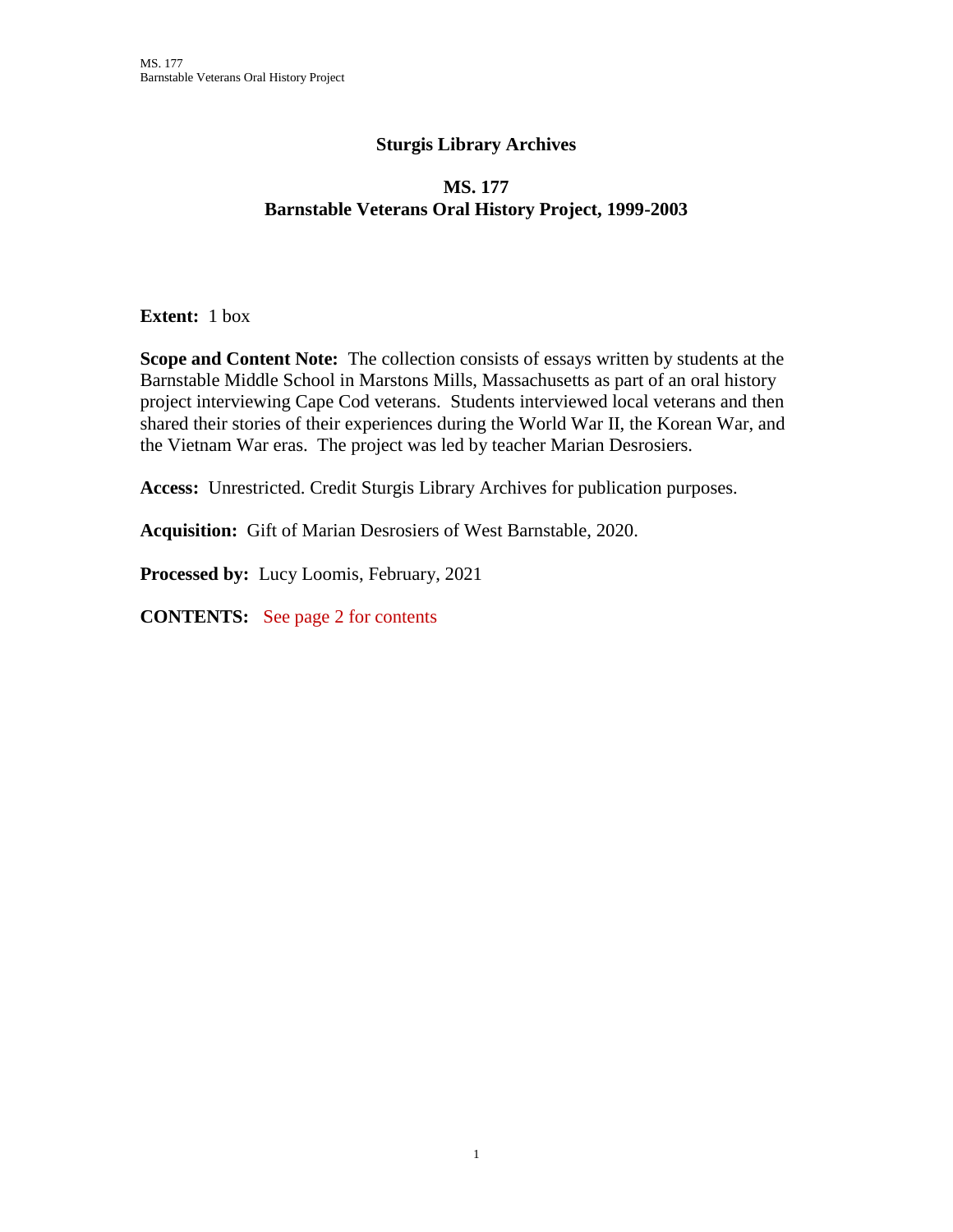## **Sturgis Library Archives**

## **MS. 177 Barnstable Veterans Oral History Project, 1999-2003**

**Extent:** 1 box

**Scope and Content Note:** The collection consists of essays written by students at the Barnstable Middle School in Marstons Mills, Massachusetts as part of an oral history project interviewing Cape Cod veterans. Students interviewed local veterans and then shared their stories of their experiences during the World War II, the Korean War, and the Vietnam War eras. The project was led by teacher Marian Desrosiers.

**Access:** Unrestricted. Credit Sturgis Library Archives for publication purposes.

**Acquisition:** Gift of Marian Desrosiers of West Barnstable, 2020.

**Processed by:** Lucy Loomis, February, 2021

**CONTENTS:** See page 2 for contents